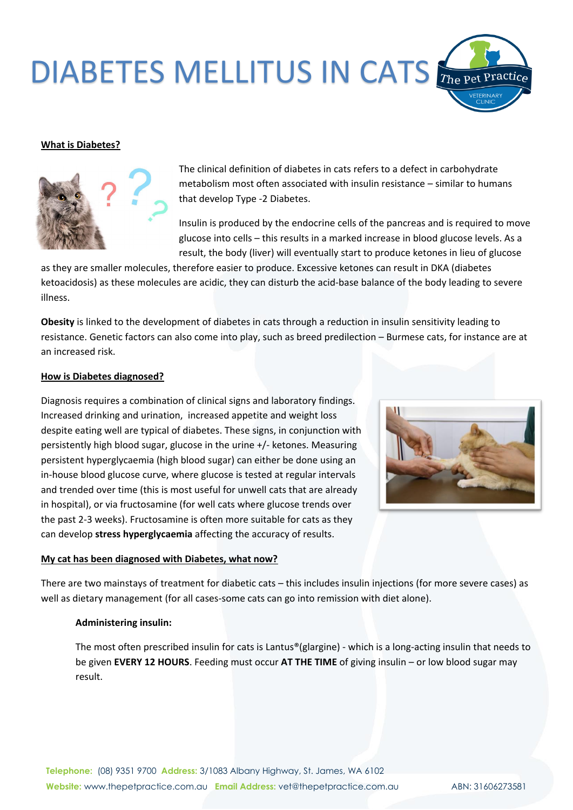## DIABETES MELLITUS IN CATS

#### **What is Diabetes?**



The clinical definition of diabetes in cats refers to a defect in carbohydrate metabolism most often associated with insulin resistance – similar to humans that develop Type -2 Diabetes.

Insulin is produced by the endocrine cells of the pancreas and is required to move glucose into cells – this results in a marked increase in blood glucose levels. As a result, the body (liver) will eventually start to produce ketones in lieu of glucose

as they are smaller molecules, therefore easier to produce. Excessive ketones can result in DKA (diabetes ketoacidosis) as these molecules are acidic, they can disturb the acid-base balance of the body leading to severe illness.

**Obesity** is linked to the development of diabetes in cats through a reduction in insulin sensitivity leading to resistance. Genetic factors can also come into play, such as breed predilection – Burmese cats, for instance are at an increased risk.

#### **How is Diabetes diagnosed?**

Diagnosis requires a combination of clinical signs and laboratory findings. Increased drinking and urination, increased appetite and weight loss despite eating well are typical of diabetes. These signs, in conjunction with persistently high blood sugar, glucose in the urine +/- ketones. Measuring persistent hyperglycaemia (high blood sugar) can either be done using an in-house blood glucose curve, where glucose is tested at regular intervals and trended over time (this is most useful for unwell cats that are already in hospital), or via fructosamine (for well cats where glucose trends over the past 2-3 weeks). Fructosamine is often more suitable for cats as they can develop **stress hyperglycaemia** affecting the accuracy of results.

#### **My cat has been diagnosed with Diabetes, what now?**

There are two mainstays of treatment for diabetic cats – this includes insulin injections (for more severe cases) as well as dietary management (for all cases-some cats can go into remission with diet alone).

### **Administering insulin:**

The most often prescribed insulin for cats is Lantus®(glargine) - which is a long-acting insulin that needs to be given **EVERY 12 HOURS**. Feeding must occur **AT THE TIME** of giving insulin – or low blood sugar may result.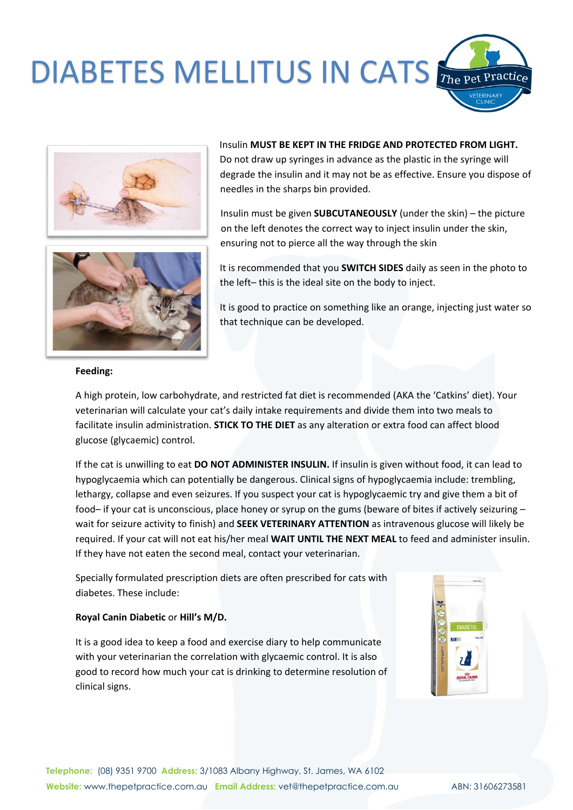# DIABETES MELLITUS IN CATS





Insulin **MUST BE KEPT IN THE FRIDGE AND PROTECTED FROM LIGHT.**  Do not draw up syringes in advance as the plastic in the syringe will degrade the insulin and it may not be as effective. Ensure you dispose of needles in the sharps bin provided.

Insulin must be given **SUBCUTANEOUSLY** (under the skin) – the picture on the left denotes the correct way to inject insulin under the skin, ensuring not to pierce all the way through the skin

It is recommended that you **SWITCH SIDES** daily as seen in the photo to the left– this is the ideal site on the body to inject.

It is good to practice on something like an orange, injecting just water so that technique can be developed.

#### **Feeding:**

A high protein, low carbohydrate, and restricted fat diet is recommended (AKA the 'Catkins' diet). Your veterinarian will calculate your cat's daily intake requirements and divide them into two meals to facilitate insulin administration. **STICK TO THE DIET** as any alteration or extra food can affect blood glucose (glycaemic) control.

If the cat is unwilling to eat **DO NOT ADMINISTER INSULIN.** If insulin is given without food, it can lead to hypoglycaemia which can potentially be dangerous. Clinical signs of hypoglycaemia include: trembling, lethargy, collapse and even seizures. If you suspect your cat is hypoglycaemic try and give them a bit of food– if your cat is unconscious, place honey or syrup on the gums (beware of bites if actively seizuring – wait for seizure activity to finish) and **SEEK VETERINARY ATTENTION** as intravenous glucose will likely be required. If your cat will not eat his/her meal **WAIT UNTIL THE NEXT MEAL** to feed and administer insulin. If they have not eaten the second meal, contact your veterinarian.

Specially formulated prescription diets are often prescribed for cats with diabetes. These include:

### **Royal Canin Diabetic** or **Hill's M/D.**

It is a good idea to keep a food and exercise diary to help communicate with your veterinarian the correlation with glycaemic control. It is also good to record how much your cat is drinking to determine resolution of clinical signs.